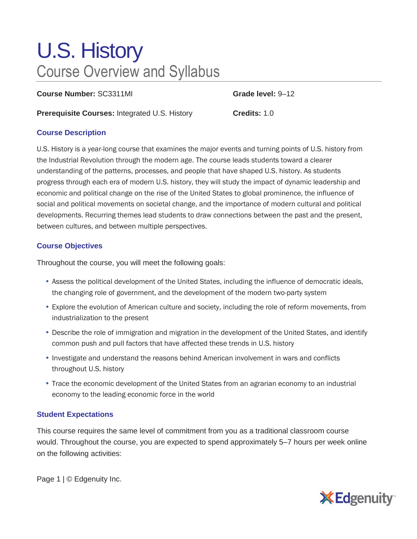# U.S. History Course Overview and Syllabus

**Course Number:** SC3311MI **Grade level:** 9–12

**Prerequisite Courses:** Integrated U.S. History **Credits:** 1.0

# **Course Description**

U.S. History is a year-long course that examines the major events and turning points of U.S. history from the Industrial Revolution through the modern age. The course leads students toward a clearer understanding of the patterns, processes, and people that have shaped U.S. history. As students progress through each era of modern U.S. history, they will study the impact of dynamic leadership and economic and political change on the rise of the United States to global prominence, the influence of social and political movements on societal change, and the importance of modern cultural and political developments. Recurring themes lead students to draw connections between the past and the present, between cultures, and between multiple perspectives.

## **Course Objectives**

Throughout the course, you will meet the following goals:

- Assess the political development of the United States, including the influence of democratic ideals, the changing role of government, and the development of the modern two-party system
- Explore the evolution of American culture and society, including the role of reform movements, from industrialization to the present
- Describe the role of immigration and migration in the development of the United States, and identify common push and pull factors that have affected these trends in U.S. history
- Investigate and understand the reasons behind American involvement in wars and conflicts throughout U.S. history
- Trace the economic development of the United States from an agrarian economy to an industrial economy to the leading economic force in the world

## **Student Expectations**

This course requires the same level of commitment from you as a traditional classroom course would. Throughout the course, you are expected to spend approximately 5–7 hours per week online on the following activities:

Page 1 | © Edgenuity Inc.